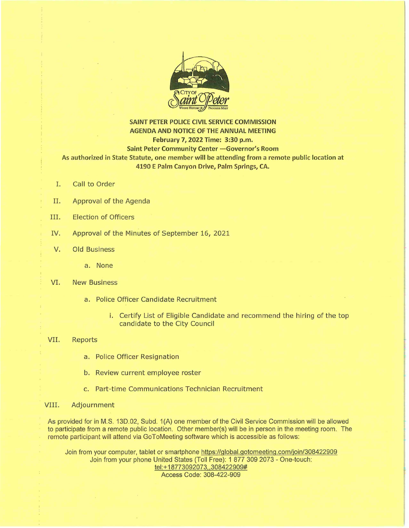

### **SAINT PETER POLICE CIVIL SERVICE COMMISSION AGENDA AND NOTICE OF THE ANNUAL MEETING February 7, 2022 Time: 3:30 p.m. Saint Peter Community Center - Governor's Room As authorized in State Statute, one member will be attending from a remote public location at 4190 E Palm Canyon Drive, Palm Springs, CA.**

- I. Call to Order
- II. Approval of the Agenda
- III. Election of Officers
- IV. Approval of the Minutes of September 16, 2021
- V. Old Business
	- a. None

#### VI. New Business

- a. Police Officer Candidate Recruitment
	- i. Certify List of Eligible Candidate and recommend the hiring of the top candidate to the City Council

#### VII. Reports

- a. Police Officer Resignation
- b. Review current employee roster
- c. Part-time Communications Technician Recruitment

#### VIII. Adjournment

As provided for in M.S. 13D.02, Subd. 1 (A) one member of the Civil Service Commission will be allowed to participate from a remote public location. Other member(s) will be in person in the meeting room. The remote participant will attend via GoToMeeting software which is accessible as follows:

Join from your computer, tablet or smartphone https://global.gotomeeting .com/join/308422909 Join from your phone United States (Toll Free): 1 877 309 2073 - One-touch: tel:+ 18773092073, ,308422909# Access Code: 308-422-909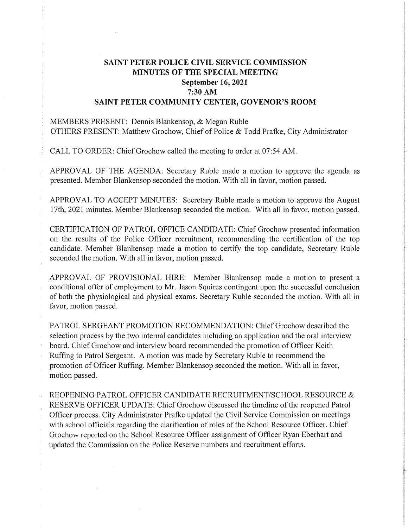# **SAINT PETER POLICE CIVIL SERVICE COMMISSION MINUTES OF THE SPECIAL MEETING September 16, 2021 7:30 AM SAINT PETER COMMUNITY CENTER, GOVENOR'S ROOM**

MEMBERS PRESENT: Dennis Blankensop, & Megan Ruble OTHERS PRESENT: Matthew Grochow, Chief of Police & Todd Prafke, City Administrator

CALL TO ORDER: Chief Grochow called the meeting to order at 07:54 AM.

APPROVAL OF THE AGENDA: Secretary Ruble made a motion to approve the agenda as presented. Member Blankensop seconded the motion. With all in favor, motion passed.

APPROVAL TO ACCEPT MINUTES: Secretary Ruble made a motion to approve the August 17th, 2021 minutes. Member Blankensop seconded the motion. With all in favor, motion passed.

CERTIFICATION OF PATROL OFFICE CANDIDATE: Chief Grochow presented information on the results of the Police Officer recruitment, recommending the certification of the top candidate. Member Blankensop made a motion to certify the top candidate, Secretary Ruble seconded the motion. With all in favor, motion passed.

APPROVAL OF PROVISIONAL HIRE: Member Blankensop made a motion to present a conditional offer of employment to Mr. Jason Squires contingent upon the successful conclusion of both the physiological and physical exams. Secretary Ruble seconded the motion. With all in favor, motion passed.

PATROL SERGEANT PROMOTION RECOMMENDATION: Chief Grochow described the selection process by the two internal candidates including an application and the oral interview board. Chief Grochow and interview board recommended the promotion of Officer Keith Ruffing to Patrol Sergeant. A motion was made by Secretary Ruble to recommend the promotion of Officer Ruffing. Member Blankensop seconded the motion. With all in favor, motion passed.

REOPENING PATROL OFFICER CANDIDATE RECRUITMENT/SCHOOL RESOURCE & RESERVE OFFICER UPDATE: Chief Grochow discussed the timeline of the reopened Patrol Officer process. City Administrator Prafke updated the Civil Service Commission on meetings with school officials regarding the clarification of roles of the School Resource Officer. Chief Grochow reported on the School Resource Officer assignment of Officer Ryan Eberhart and updated the Commission on the Police Reserve numbers and recruitment efforts.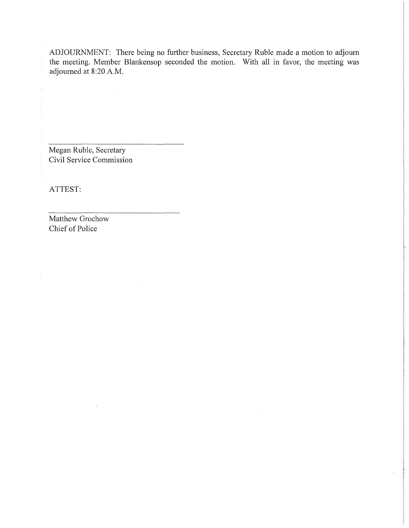ADJOURNMENT: There being no further business, Secretary Ruble made a motion to adjourn the meeting. Member Blankensop seconded the motion. With all in favor, the meeting was adjourned at 8:20 A.M.

Megan Ruble, Secretary Civil Service Commission

 $\sim$ 

ATTEST:

 $\frac{1}{2}$ 

Matthew Grochow Chief of Police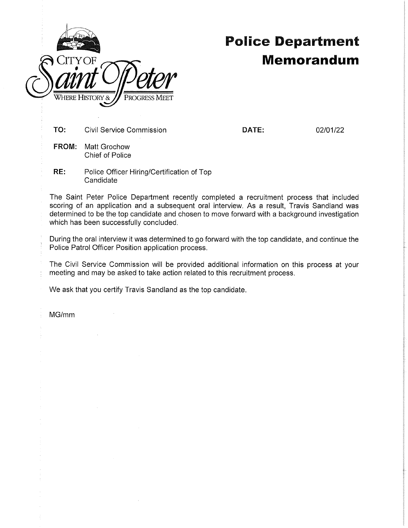

# Police **Department Memorandum**

**TO:** Civil Service Commission

**DATE:** 02/01/22

- **FROM:** Matt Grochow Chief of Police
- **RE:** Police Officer Hiring/Certification of Top **Candidate**

The Saint Peter Police Department recently completed a recruitment process that included scoring of an application and a subsequent oral interview. As a result, Travis Sandland was determined to be the top candidate and chosen to move forward with a background investigation which has been successfully concluded.

During the oral interview it was determined to go forward with the top candidate, and continue the Police Patrol Officer Position application process.

The Civil Service Commission will be provided additional information on this process at your meeting and may be asked to take action related to this recruitment process.

We ask that you certify Travis Sandland as the top candidate.

MG/mm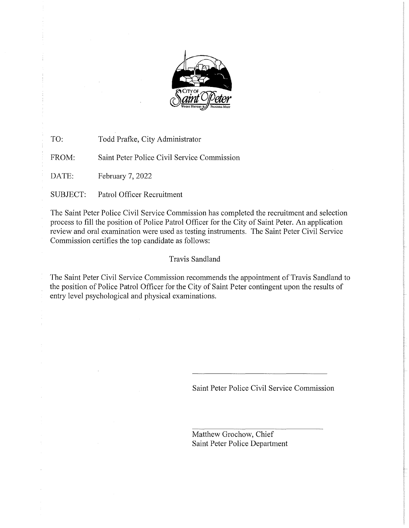

TO: Todd Prafke, City Administrator FROM: Saint Peter Police Civil Service Commission

DATE: February 7, 2022

SUBJECT: Patrol Officer Recruitment

The Saint Peter Police Civil Service Commission has completed the recruitment and selection process to fill the position of Police Patrol Officer for the City of Saint Peter. An application review and oral examination were used as testing instruments. The Saint Peter Civil Service Commission certifies the top candidate as follows:

# Travis Sandland

The Saint Peter Civil Service Commission recommends the appointment of Travis Sandland to the position of Police Patrol Officer for the City of Saint Peter contingent upon the results of entry level psychological and physical examinations.

Saint Peter Police Civil Service Commission

Matthew Grochow, Chief Saint Peter Police Department